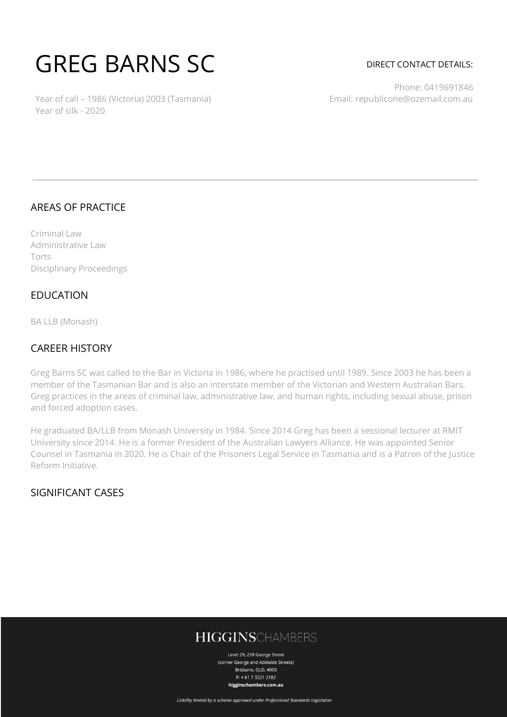# GREG BARNS SC

#### DIRECT CONTACT DETAILS:

Year of call – 1986 (Victoria) 2003 (Tasmania) Year of silk - 2020

Phone: 0419691846 Email: republicone@ozemail.com.au

#### AREAS OF PRACTICE

Criminal Law Administrative Law Torts Disciplinary Proceedings

#### **FDUCATION**

BA LLB (Monash)

#### CAREER HISTORY

Greg Barns SC was called to the Bar in Victoria in 1986, where he practised until 1989. Since 2003 he has been a member of the Tasmanian Bar and is also an interstate member of the Victorian and Western Australian Bars. Greg practices in the areas of criminal law, administrative law, and human rights, including sexual abuse, prison and forced adoption cases.

He graduated BA/LLB from Monash University in 1984. Since 2014 Greg has been a sessional lecturer at RMIT University since 2014. He is a former President of the Australian Lawyers Alliance. He was appointed Senior Counsel in Tasmania in 2020. He is Chair of the Prisoners Legal Service in Tasmania and is a Patron of the Justice Reform Initiative.

### SIGNIFICANT CASES

## **HIGGINSCHAMBERS**

Level 29, 239 George Street (corner George and Adelaide Streets) Brisbane, QLD, 4000  $P: +61732212182$ higginschambers.com.au

Liability limited by a scheme approved under Professional Standards Legislation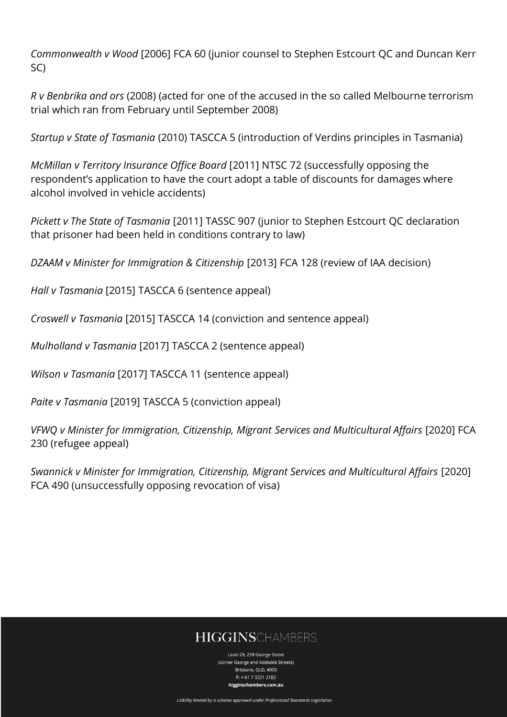*Commonwealth v Wood* [2006] FCA 60 (junior counsel to Stephen Estcourt QC and Duncan Kerr SC)

*R v Benbrika and ors* (2008) (acted for one of the accused in the so called Melbourne terrorism trial which ran from February until September 2008)

*Startup v State of Tasmania* (2010) TASCCA 5 (introduction of Verdins principles in Tasmania)

*McMillan v Territory Insurance Office Board* [2011] NTSC 72 (successfully opposing the respondent's application to have the court adopt a table of discounts for damages where alcohol involved in vehicle accidents)

*Pickett v The State of Tasmania* [2011] TASSC 907 (junior to Stephen Estcourt QC declaration that prisoner had been held in conditions contrary to law)

*DZAAM v Minister for Immigration & Citizenship* [2013] FCA 128 (review of IAA decision)

*Hall v Tasmania* [2015] TASCCA 6 (sentence appeal)

*Croswell v Tasmania* [2015] TASCCA 14 (conviction and sentence appeal)

*Mulholland v Tasmania* [2017] TASCCA 2 (sentence appeal)

*Wilson v Tasmania* [2017] TASCCA 11 (sentence appeal)

*Paite v Tasmania* [2019] TASCCA 5 (conviction appeal)

*VFWQ v Minister for Immigration, Citizenship, Migrant Services and Multicultural Affairs* [2020] FCA 230 (refugee appeal)

*Swannick v Minister for Immigration, Citizenship, Migrant Services and Multicultural Affairs* [2020] FCA 490 (unsuccessfully opposing revocation of visa)

# **HIGGINSCHAMBERS**

Level 29, 239 George Street (corner George and Adelaide Streets) Brishane, OLD, 4000 P: + 61 7 3221 2182 higginschambers.com.au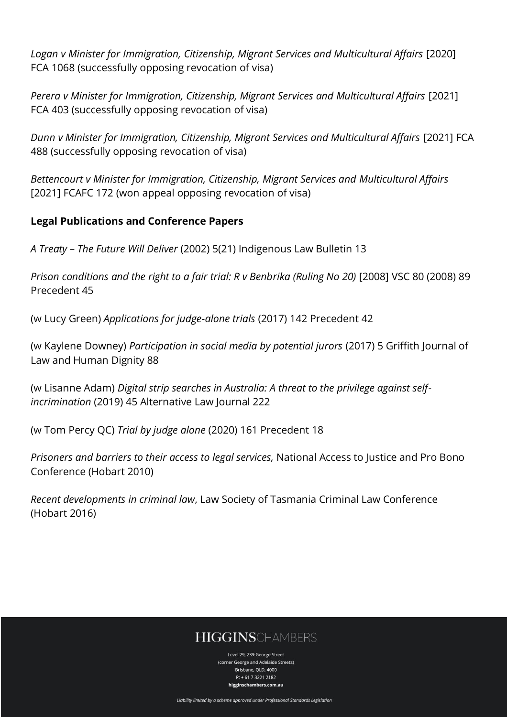*Logan v Minister for Immigration, Citizenship, Migrant Services and Multicultural Affairs* [2020] FCA 1068 (successfully opposing revocation of visa)

*Perera v Minister for Immigration, Citizenship, Migrant Services and Multicultural Affairs* [2021] FCA 403 (successfully opposing revocation of visa)

*Dunn v Minister for Immigration, Citizenship, Migrant Services and Multicultural Affairs* [2021] FCA 488 (successfully opposing revocation of visa)

*Bettencourt v Minister for Immigration, Citizenship, Migrant Services and Multicultural Affairs* [2021] FCAFC 172 (won appeal opposing revocation of visa)

## **Legal Publications and Conference Papers**

*A Treaty – The Future Will Deliver* (2002) 5(21) Indigenous Law Bulletin 13

*Prison conditions and the right to a fair trial: R v Benbrika (Ruling No 20)* [2008] VSC 80 (2008) 89 Precedent 45

(w Lucy Green) *Applications for judge-alone trials* (2017) 142 Precedent 42

(w Kaylene Downey) *Participation in social media by potential jurors* (2017) 5 Griffith Journal of Law and Human Dignity 88

(w Lisanne Adam) *Digital strip searches in Australia: A threat to the privilege against selfincrimination* (2019) 45 Alternative Law Journal 222

(w Tom Percy QC) *Trial by judge alone* (2020) 161 Precedent 18

*Prisoners and barriers to their access to legal services,* National Access to Justice and Pro Bono Conference (Hobart 2010)

*Recent developments in criminal law*, Law Society of Tasmania Criminal Law Conference (Hobart 2016)

## **HIGGINSCHAMBERS**

Level 29, 239 George Street (corner George and Adelaide Streets) Brishane, OLD, 4000 P: + 61 7 3221 2182 higginschambers.com.au

Liability limited by a scheme approved under Professional Standards Legislation